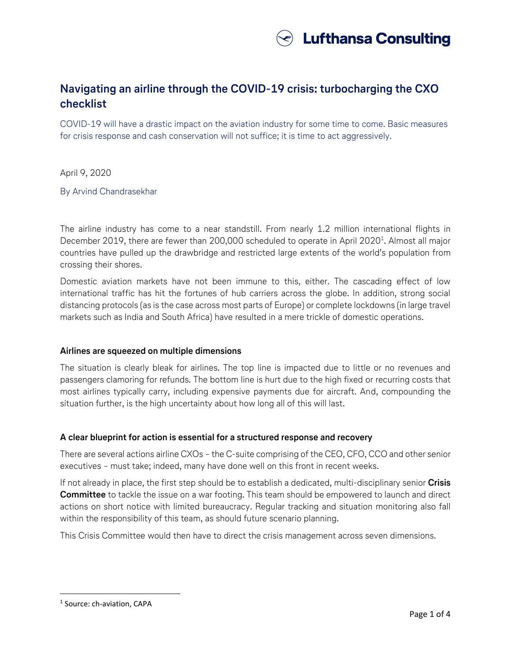

# **Navigating an airline through the COVID-19 crisis: turbocharging the CXO checklist**

COVID-19 will have a drastic impact on the aviation industry for some time to come. Basic measures for crisis response and cash conservation will not suffice; it is time to act aggressively.

April 9, 2020

By Arvind Chandrasekhar

The airline industry has come to a near standstill. From nearly 1.2 million international flights in December 2019, there are fewer than 200,000 scheduled to operate in April 2020<sup>1</sup>. Almost all major countries have pulled up the drawbridge and restricted large extents of the world's population from crossing their shores.

Domestic aviation markets have not been immune to this, either. The cascading effect of low international traffic has hit the fortunes of hub carriers across the globe. In addition, strong social distancing protocols (as is the case across most parts of Europe) or complete lockdowns (in large travel markets such as India and South Africa) have resulted in a mere trickle of domestic operations.

# **Airlines are squeezed on multiple dimensions**

The situation is clearly bleak for airlines. The top line is impacted due to little or no revenues and passengers clamoring for refunds. The bottom line is hurt due to the high fixed or recurring costs that most airlines typically carry, including expensive payments due for aircraft. And, compounding the situation further, is the high uncertainty about how long all of this will last.

# **A clear blueprint for action is essential for a structured response and recovery**

There are several actions airline CXOs – the C-suite comprising of the CEO, CFO, CCO and other senior executives – must take; indeed, many have done well on this front in recent weeks.

If not already in place, the first step should be to establish a dedicated, multi-disciplinary senior **Crisis Committee** to tackle the issue on a war footing. This team should be empowered to launch and direct actions on short notice with limited bureaucracy. Regular tracking and situation monitoring also fall within the responsibility of this team, as should future scenario planning.

This Crisis Committee would then have to direct the crisis management across seven dimensions.

l

<sup>&</sup>lt;sup>1</sup> Source: ch-aviation, CAPA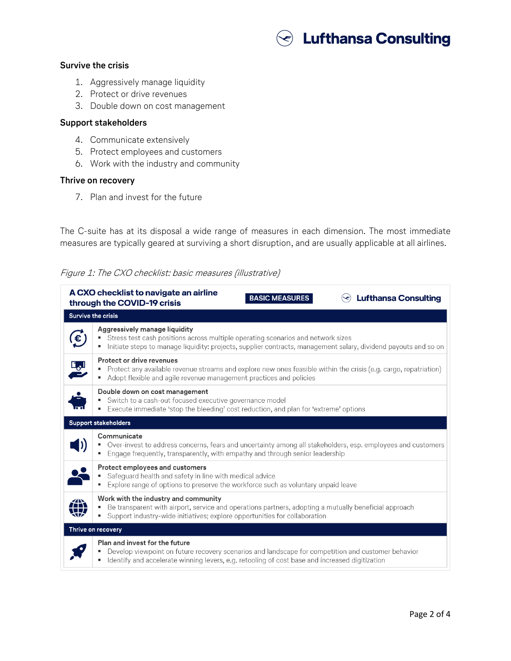

# **Survive the crisis**

- 1. Aggressively manage liquidity
- 2. Protect or drive revenues
- 3. Double down on cost management

#### **Support stakeholders**

- 4. Communicate extensively
- 5. Protect employees and customers
- 6. Work with the industry and community

#### **Thrive on recovery**

7. Plan and invest for the future

The C-suite has at its disposal a wide range of measures in each dimension. The most immediate measures are typically geared at surviving a short disruption, and are usually applicable at all airlines.

# Figure 1: The CXO checklist: basic measures (illustrative)

| A CXO checklist to navigate an airline<br><b>Lufthansa Consulting</b><br><b>BASIC MEASURES</b><br>through the COVID-19 crisis |                                                                                                                                                                                                                                             |  |
|-------------------------------------------------------------------------------------------------------------------------------|---------------------------------------------------------------------------------------------------------------------------------------------------------------------------------------------------------------------------------------------|--|
| <b>Survive the crisis</b>                                                                                                     |                                                                                                                                                                                                                                             |  |
| $\mathbf{f}$                                                                                                                  | Aggressively manage liquidity<br>Stress test cash positions across multiple operating scenarios and network sizes<br>Initiate steps to manage liquidity: projects, supplier contracts, management salary, dividend payouts and so on        |  |
| L <sub>o</sub> l                                                                                                              | Protect or drive revenues<br>■ Protect any available revenue streams and explore new ones feasible within the crisis (e.g. cargo, repatriation)<br>Adopt flexible and agile revenue management practices and policies<br>٠                  |  |
| Ů                                                                                                                             | Double down on cost management<br>Switch to a cash-out focused executive governance model<br>" Execute immediate 'stop the bleeding' cost reduction, and plan for 'extreme' options                                                         |  |
| <b>Support stakeholders</b>                                                                                                   |                                                                                                                                                                                                                                             |  |
|                                                                                                                               | Communicate<br>• Over-invest to address concerns, fears and uncertainty among all stakeholders, esp. employees and customers<br>Engage frequently, transparently, with empathy and through senior leadership<br>٠                           |  |
| Ķ                                                                                                                             | Protect employees and customers<br>• Safeguard health and safety in line with medical advice<br>Explore range of options to preserve the workforce such as voluntary unpaid leave<br>٠                                                      |  |
| ZN<br>w                                                                                                                       | Work with the industry and community<br>Be transparent with airport, service and operations partners, adopting a mutually beneficial approach<br>• Support industry-wide initiatives; explore opportunities for collaboration               |  |
| Thrive on recovery                                                                                                            |                                                                                                                                                                                                                                             |  |
|                                                                                                                               | Plan and invest for the future<br>Develop viewpoint on future recovery scenarios and landscape for competition and customer behavior<br>Identify and accelerate winning levers, e.g. retooling of cost base and increased digitization<br>٠ |  |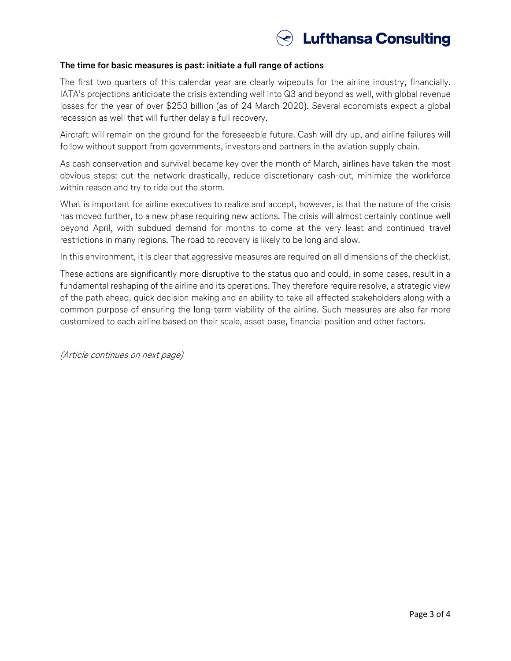

### **The time for basic measures is past: initiate a full range of actions**

The first two quarters of this calendar year are clearly wipeouts for the airline industry, financially. IATA's projections anticipate the crisis extending well into Q3 and beyond as well, with global revenue losses for the year of over \$250 billion (as of 24 March 2020). Several economists expect a global recession as well that will further delay a full recovery.

Aircraft will remain on the ground for the foreseeable future. Cash will dry up, and airline failures will follow without support from governments, investors and partners in the aviation supply chain.

As cash conservation and survival became key over the month of March, airlines have taken the most obvious steps: cut the network drastically, reduce discretionary cash-out, minimize the workforce within reason and try to ride out the storm.

What is important for airline executives to realize and accept, however, is that the nature of the crisis has moved further, to a new phase requiring new actions. The crisis will almost certainly continue well beyond April, with subdued demand for months to come at the very least and continued travel restrictions in many regions. The road to recovery is likely to be long and slow.

In this environment, it is clear that aggressive measures are required on all dimensions of the checklist.

These actions are significantly more disruptive to the status quo and could, in some cases, result in a fundamental reshaping of the airline and its operations. They therefore require resolve, a strategic view of the path ahead, quick decision making and an ability to take all affected stakeholders along with a common purpose of ensuring the long-term viability of the airline. Such measures are also far more customized to each airline based on their scale, asset base, financial position and other factors.

(Article continues on next page)